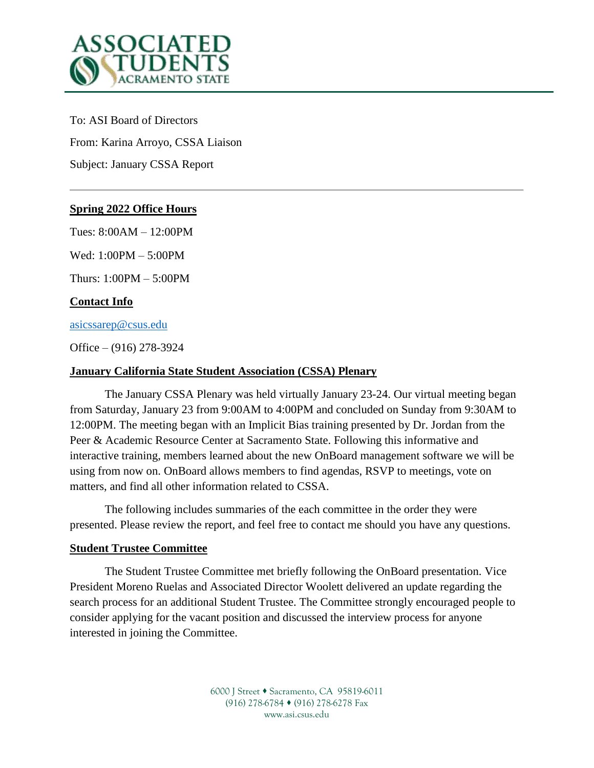

To: ASI Board of Directors From: Karina Arroyo, CSSA Liaison Subject: January CSSA Report

### **Spring 2022 Office Hours**

Tues: 8:00AM – 12:00PM

Wed: 1:00PM – 5:00PM

Thurs: 1:00PM – 5:00PM

### **Contact Info**

[asicssarep@csus.edu](mailto:asicssarep@csus.edu)

Office – (916) 278-3924

#### **January California State Student Association (CSSA) Plenary**

The January CSSA Plenary was held virtually January 23-24. Our virtual meeting began from Saturday, January 23 from 9:00AM to 4:00PM and concluded on Sunday from 9:30AM to 12:00PM. The meeting began with an Implicit Bias training presented by Dr. Jordan from the Peer & Academic Resource Center at Sacramento State. Following this informative and interactive training, members learned about the new OnBoard management software we will be using from now on. OnBoard allows members to find agendas, RSVP to meetings, vote on matters, and find all other information related to CSSA.

The following includes summaries of the each committee in the order they were presented. Please review the report, and feel free to contact me should you have any questions.

#### **Student Trustee Committee**

The Student Trustee Committee met briefly following the OnBoard presentation. Vice President Moreno Ruelas and Associated Director Woolett delivered an update regarding the search process for an additional Student Trustee. The Committee strongly encouraged people to consider applying for the vacant position and discussed the interview process for anyone interested in joining the Committee.

> 6000 J Street • Sacramento, CA 95819-6011 (916) 278-6784 (916) 278-6278 Fax www.asi.csus.edu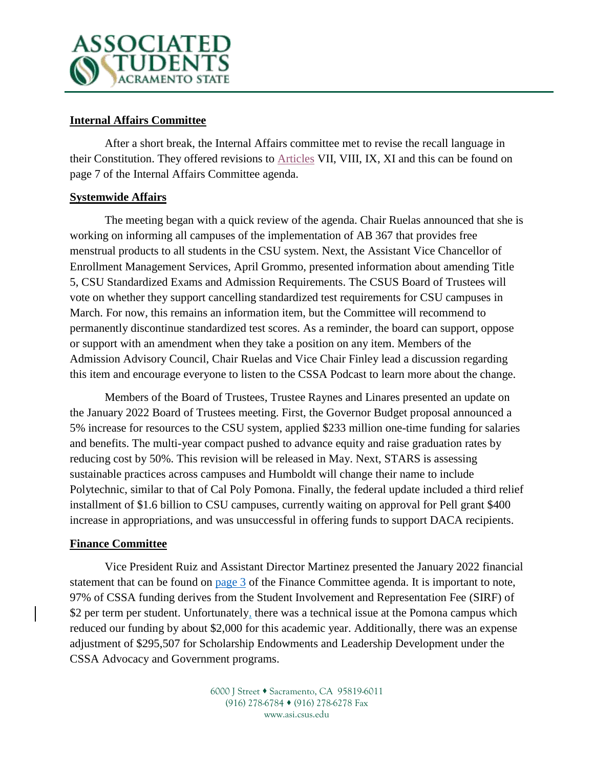

#### **Internal Affairs Committee**

After a short break, the Internal Affairs committee met to revise the recall language in their Constitution. They offered revisions to [Articles](https://public.onboardmeetings.com/Meeting/l7947ZpV2jKmsyTupDasjqpuNzkm32WGPFWKp14ZS2AA/yypaDoOpQW%2Fp4QbkOFtzpEnp7pFsppEcbZfx61sSEkgA) VII, VIII, IX, XI and this can be found on page 7 of the Internal Affairs Committee agenda.

### **Systemwide Affairs**

The meeting began with a quick review of the agenda. Chair Ruelas announced that she is working on informing all campuses of the implementation of AB 367 that provides free menstrual products to all students in the CSU system. Next, the Assistant Vice Chancellor of Enrollment Management Services, April Grommo, presented information about amending Title 5, CSU Standardized Exams and Admission Requirements. The CSUS Board of Trustees will vote on whether they support cancelling standardized test requirements for CSU campuses in March. For now, this remains an information item, but the Committee will recommend to permanently discontinue standardized test scores. As a reminder, the board can support, oppose or support with an amendment when they take a position on any item. Members of the Admission Advisory Council, Chair Ruelas and Vice Chair Finley lead a discussion regarding this item and encourage everyone to listen to the CSSA Podcast to learn more about the change.

Members of the Board of Trustees, Trustee Raynes and Linares presented an update on the January 2022 Board of Trustees meeting. First, the Governor Budget proposal announced a 5% increase for resources to the CSU system, applied \$233 million one-time funding for salaries and benefits. The multi-year compact pushed to advance equity and raise graduation rates by reducing cost by 50%. This revision will be released in May. Next, STARS is assessing sustainable practices across campuses and Humboldt will change their name to include Polytechnic, similar to that of Cal Poly Pomona. Finally, the federal update included a third relief installment of \$1.6 billion to CSU campuses, currently waiting on approval for Pell grant \$400 increase in appropriations, and was unsuccessful in offering funds to support DACA recipients.

# **Finance Committee**

Vice President Ruiz and Assistant Director Martinez presented the January 2022 financial statement that can be found on [page 3](https://public.onboardmeetings.com/Meeting/l7947ZpV2jKmsyTupDasjqpuNzkm32WGPFWKp14ZS2AA/yypaDoOpQW%2Fp4QbkOFtzpEnp7pFsppEcbZfx61sSEkgA) of the Finance Committee agenda. It is important to note, 97% of CSSA funding derives from the Student Involvement and Representation Fee (SIRF) of \$2 per term per student. Unfortunately, there was a technical issue at the Pomona campus which reduced our funding by about \$2,000 for this academic year. Additionally, there was an expense adjustment of \$295,507 for Scholarship Endowments and Leadership Development under the CSSA Advocacy and Government programs.

> 6000 J Street • Sacramento, CA 95819-6011 (916) 278-6784 (916) 278-6278 Fax www.asi.csus.edu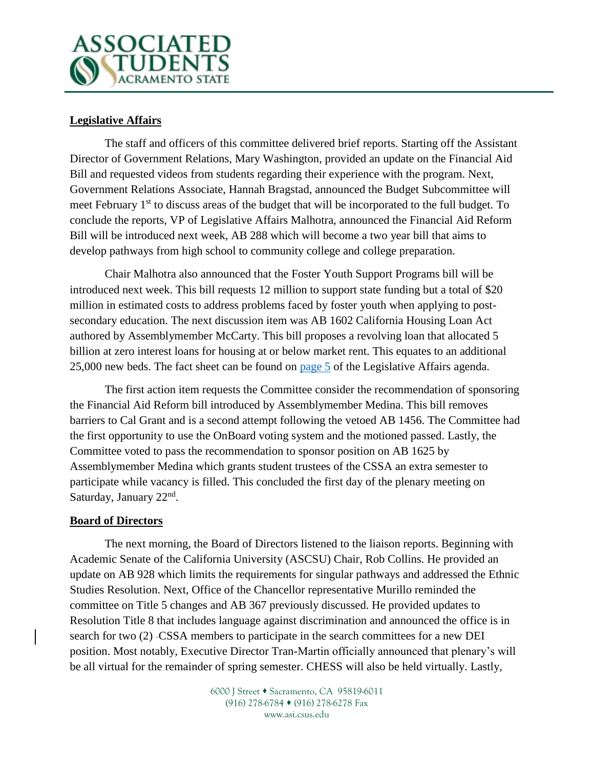

## **Legislative Affairs**

The staff and officers of this committee delivered brief reports. Starting off the Assistant Director of Government Relations, Mary Washington, provided an update on the Financial Aid Bill and requested videos from students regarding their experience with the program. Next, Government Relations Associate, Hannah Bragstad, announced the Budget Subcommittee will meet February 1<sup>st</sup> to discuss areas of the budget that will be incorporated to the full budget. To conclude the reports, VP of Legislative Affairs Malhotra, announced the Financial Aid Reform Bill will be introduced next week, AB 288 which will become a two year bill that aims to develop pathways from high school to community college and college preparation.

Chair Malhotra also announced that the Foster Youth Support Programs bill will be introduced next week. This bill requests 12 million to support state funding but a total of \$20 million in estimated costs to address problems faced by foster youth when applying to postsecondary education. The next discussion item was AB 1602 California Housing Loan Act authored by Assemblymember McCarty. This bill proposes a revolving loan that allocated 5 billion at zero interest loans for housing at or below market rent. This equates to an additional 25,000 new beds. The fact sheet can be found on [page 5](https://public.onboardmeetings.com/Meeting/l7947ZpV2jKmsyTupDasjqpuNzkm32WGPFWKp14ZS2AA/yypaDoOpQW%2Fp4QbkOFtzpEnp7pFsppEcbZfx61sSEkgA) of the Legislative Affairs agenda.

The first action item requests the Committee consider the recommendation of sponsoring the Financial Aid Reform bill introduced by Assemblymember Medina. This bill removes barriers to Cal Grant and is a second attempt following the vetoed AB 1456. The Committee had the first opportunity to use the OnBoard voting system and the motioned passed. Lastly, the Committee voted to pass the recommendation to sponsor position on AB 1625 by Assemblymember Medina which grants student trustees of the CSSA an extra semester to participate while vacancy is filled. This concluded the first day of the plenary meeting on Saturday, January 22<sup>nd</sup>.

#### **Board of Directors**

The next morning, the Board of Directors listened to the liaison reports. Beginning with Academic Senate of the California University (ASCSU) Chair, Rob Collins. He provided an update on AB 928 which limits the requirements for singular pathways and addressed the Ethnic Studies Resolution. Next, Office of the Chancellor representative Murillo reminded the committee on Title 5 changes and AB 367 previously discussed. He provided updates to Resolution Title 8 that includes language against discrimination and announced the office is in search for two (2) -CSSA members to participate in the search committees for a new DEI position. Most notably, Executive Director Tran-Martin officially announced that plenary's will be all virtual for the remainder of spring semester. CHESS will also be held virtually. Lastly,

> 6000 J Street • Sacramento, CA 95819-6011 (916) 278-6784 (916) 278-6278 Fax www.asi.csus.edu